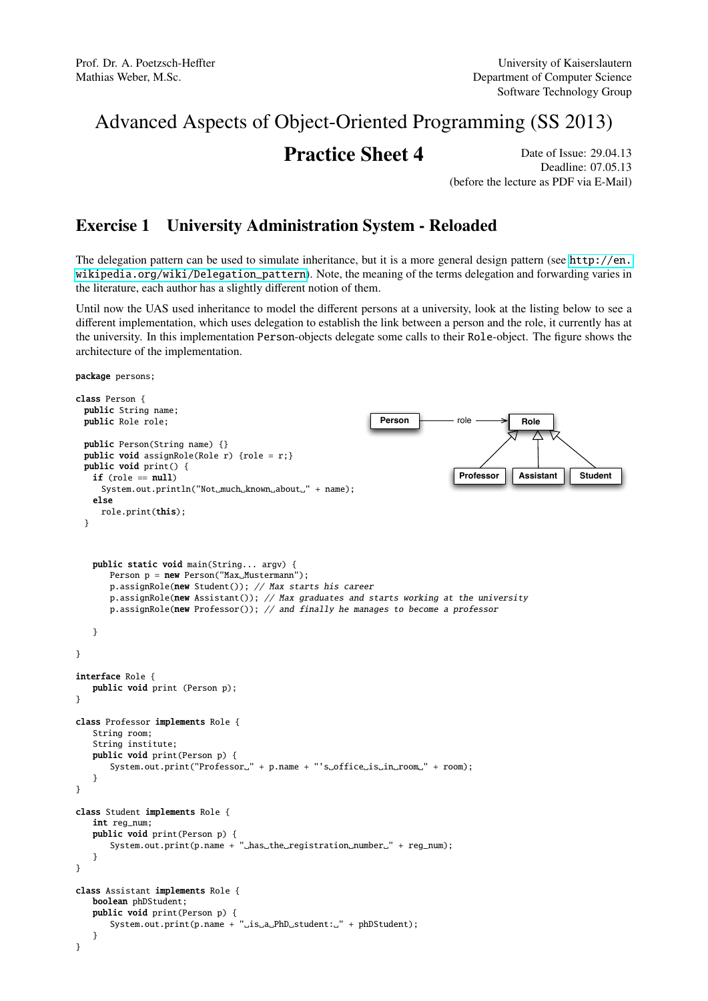# Advanced Aspects of Object-Oriented Programming (SS 2013)

# **Practice Sheet 4** Date of Issue: 29.04.13

Deadline: 07.05.13 (before the lecture as PDF via E-Mail)

## Exercise 1 University Administration System - Reloaded

The delegation pattern can be used to simulate inheritance, but it is a more general design pattern (see [http://en.](http://en.wikipedia.org/wiki/Delegation_pattern) [wikipedia.org/wiki/Delegation\\_pattern](http://en.wikipedia.org/wiki/Delegation_pattern)). Note, the meaning of the terms delegation and forwarding varies in the literature, each author has a slightly different notion of them.

Until now the UAS used inheritance to model the different persons at a university, look at the listing below to see a different implementation, which uses delegation to establish the link between a person and the role, it currently has at the university. In this implementation Person-objects delegate some calls to their Role-object. The figure shows the architecture of the implementation.

package persons;

```
class Person {
 public String name;
 public Role role;
 public Person(String name) {}
 public void assignRole(Role r) {role = r;}
 public void print() {
   if (\text{role} == \text{null})System.out.println("Not_much_known_about_" + name);
   else
     role.print(this);
 }
                                                                                            Role
                                                                               Professor
                                                                               role
                                                                                            Assistant Student
                                                               Person
   public static void main(String... argv) {
       Person p = new Person("Max_Musterman");
       p.assignRole(new Student()); // Max starts his career
       p.assignRole(new Assistant()); // Max graduates and starts working at the university
       p.assignRole(new Professor()); // and finally he manages to become a professor
   }
}
interface Role {
   public void print (Person p);
}
class Professor implements Role {
   String room;
   String institute;
   public void print(Person p) {
       System.out.print("Professor." + p.name + "'s.office.is.in.room." + room);
   }
}
class Student implements Role {
   int reg_num;
   public void print(Person p) {
       System.out.print(p.name + "_has_the_registration_number_" + reg_num);
   }
}
class Assistant implements Role {
   boolean phDStudent;
   public void print(Person p) {
       System.out.print(p.name + "_is_a_PhD_student:_" + phDStudent);
   }
}
```